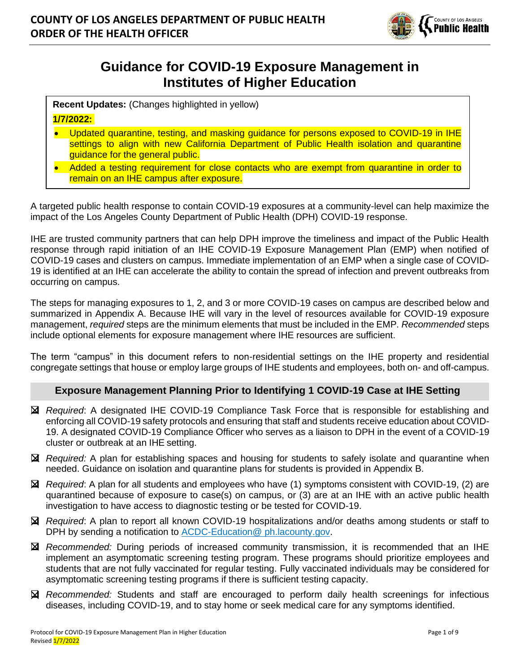

# **Guidance for COVID-19 Exposure Management in Institutes of Higher Education**

**Recent Updates:** (Changes highlighted in yellow) **1/7/2022:** 

- Updated quarantine, testing, and masking guidance for persons exposed to COVID-19 in IHE settings to align with new California Department of Public Health isolation and quarantine guidance for the general public.
- Added a testing requirement for close contacts who are exempt from quarantine in order to remain on an IHE campus after exposure.

A targeted public health response to contain COVID-19 exposures at a community-level can help maximize the impact of the Los Angeles County Department of Public Health (DPH) COVID-19 response.

IHE are trusted community partners that can help DPH improve the timeliness and impact of the Public Health response through rapid initiation of an IHE COVID-19 Exposure Management Plan (EMP) when notified of COVID-19 cases and clusters on campus. Immediate implementation of an EMP when a single case of COVID-19 is identified at an IHE can accelerate the ability to contain the spread of infection and prevent outbreaks from occurring on campus.

The steps for managing exposures to 1, 2, and 3 or more COVID-19 cases on campus are described below and summarized in Appendix A. Because IHE will vary in the level of resources available for COVID-19 exposure management, *required* steps are the minimum elements that must be included in the EMP. *Recommended* steps include optional elements for exposure management where IHE resources are sufficient.

The term "campus" in this document refers to non-residential settings on the IHE property and residential congregate settings that house or employ large groups of IHE students and employees, both on- and off-campus.

## **Exposure Management Planning Prior to Identifying 1 COVID-19 Case at IHE Setting**

- ❑ *Required*: A designated IHE COVID-19 Compliance Task Force that is responsible for establishing and enforcing all COVID-19 safety protocols and ensuring that staff and students receive education about COVID-19. A designated COVID-19 Compliance Officer who serves as a liaison to DPH in the event of a COVID-19 cluster or outbreak at an IHE setting.
- ❑ *Required:* A plan for establishing spaces and housing for students to safely isolate and quarantine when needed. Guidance on isolation and quarantine plans for students is provided in Appendix B.
- ❑ *Required*: A plan for all students and employees who have (1) symptoms consistent with COVID-19, (2) are quarantined because of exposure to case(s) on campus, or (3) are at an IHE with an active public health investigation to have access to diagnostic testing or be tested for COVID-19.
- ❑ *Required*: A plan to report all known COVID-19 hospitalizations and/or deaths among students or staff to DPH by sending a notification to [ACDC-Education@ ph.lacounty.gov.](mailto:ACDC-Education@ph.lacounty.gov)
- ❑ *Recommended:* During periods of increased community transmission, it is recommended that an IHE implement an asymptomatic screening testing program. These programs should prioritize employees and students that are not fully vaccinated for regular testing. Fully vaccinated individuals may be considered for asymptomatic screening testing programs if there is sufficient testing capacity.
- ❑ *Recommended:* Students and staff are encouraged to perform daily health screenings for infectious diseases, including COVID-19, and to stay home or seek medical care for any symptoms identified.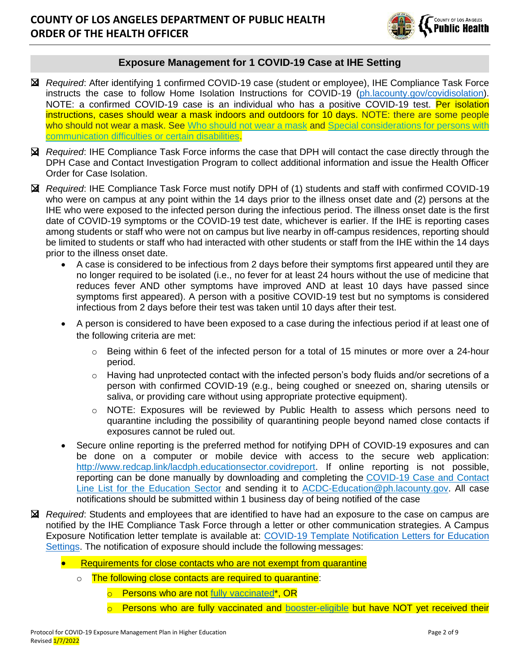

## **Exposure Management for 1 COVID-19 Case at IHE Setting**

- ❑ *Required*: After identifying 1 confirmed COVID-19 case (student or employee), IHE Compliance Task Force instructs the case to follow Home Isolation Instructions for COVID-19 [\(ph.lacounty.gov/covidisolation\)](http://publichealth.lacounty.gov/acd/ncorona2019/covidisolation/). NOTE: a confirmed COVID-19 case is an individual who has a positive COVID-19 test. Per isolation instructions, cases should wear a mask indoors and outdoors for 10 days. NOTE: there are some people who should not wear a mask. See [Who should not wear a mask](http://publichealth.lacounty.gov/acd/ncorona2019/masks/#notwear) and Special considerations for persons with [communication difficulties or certain disabilities.](http://publichealth.lacounty.gov/acd/ncorona2019/masks/#specialconsiderations)
- ❑ *Required*: IHE Compliance Task Force informs the case that DPH will contact the case directly through the DPH Case and Contact Investigation Program to collect additional information and issue the Health Officer Order for Case Isolation.
- ❑ *Required*: IHE Compliance Task Force must notify DPH of (1) students and staff with confirmed COVID-19 who were on campus at any point within the 14 days prior to the illness onset date and (2) persons at the IHE who were exposed to the infected person during the infectious period. The illness onset date is the first date of COVID-19 symptoms or the COVID-19 test date, whichever is earlier. If the IHE is reporting cases among students or staff who were not on campus but live nearby in off-campus residences, reporting should be limited to students or staff who had interacted with other students or staff from the IHE within the 14 days prior to the illness onset date.
	- A case is considered to be infectious from 2 days before their symptoms first appeared until they are no longer required to be isolated (i.e., no fever for at least 24 hours without the use of medicine that reduces fever AND other symptoms have improved AND at least 10 days have passed since symptoms first appeared). A person with a positive COVID-19 test but no symptoms is considered infectious from 2 days before their test was taken until 10 days after their test.
	- A person is considered to have been exposed to a case during the infectious period if at least one of the following criteria are met:
		- o Being within 6 feet of the infected person for a total of 15 minutes or more over a 24-hour period.
		- $\circ$  Having had unprotected contact with the infected person's body fluids and/or secretions of a person with confirmed COVID-19 (e.g., being coughed or sneezed on, sharing utensils or saliva, or providing care without using appropriate protective equipment).
		- $\circ$  NOTE: Exposures will be reviewed by Public Health to assess which persons need to quarantine including the possibility of quarantining people beyond named close contacts if exposures cannot be ruled out.
	- Secure online reporting is the preferred method for notifying DPH of COVID-19 exposures and can be done on a computer or mobile device with access to the secure web application: [http://www.redcap.link/lacdph.educationsector.covidreport.](http://www.redcap.link/lacdph.educationsector.covidreport) If online reporting is not possible, reporting can be done manually by downloading and completing the [COVID-19 Case and Contact](http://publichealth.lacounty.gov/acd/Diseases/EpiForms/COVID_OBlinelist_Education_Sector.xlsm)  [Line List for the Education Sector](http://publichealth.lacounty.gov/acd/Diseases/EpiForms/COVID_OBlinelist_Education_Sector.xlsm) and sending it to [ACDC-Education@ph.lacounty.gov.](mailto:ACDC-Education@ph.lacounty.gov) All case notifications should be submitted within 1 business day of being notified of the case
- ❑ *Required*: Students and employees that are identified to have had an exposure to the case on campus are notified by the IHE Compliance Task Force through a letter or other communication strategies. A Campus Exposure Notification letter template is available at: [COVID-19 Template Notification Letters for Education](http://publichealth.lacounty.gov/acd/Diseases/EpiForms/COVID_TemplateNotificationLetters_Educational_Settings_IHE.docx)  [Settings.](http://publichealth.lacounty.gov/acd/Diseases/EpiForms/COVID_TemplateNotificationLetters_Educational_Settings_IHE.docx) The notification of exposure should include the following messages:
	- Requirements for close contacts who are not exempt from quarantine
		- o The following close contacts are required to quarantine:
			- o Persons who are not [fully vaccinated\\*](http://publichealth.lacounty.gov/acd/ncorona2019/vaccine/fullyvaccinated/), OR
			- Persons who are fully vaccinated and [booster-eligible](http://publichealth.lacounty.gov/media/Coronavirus/docs/vaccine/VaccineEligibilitySummaryTable.pdf) but have NOT yet received their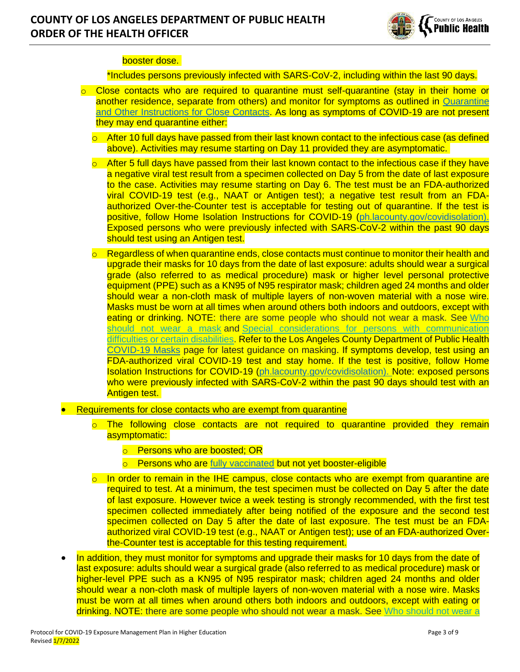

#### booster dose.

\*Includes persons previously infected with SARS-CoV-2, including within the last 90 days.

- $\circ$  Close contacts who are required to quarantine must self-quarantine (stay in their home or another residence, separate from others) and monitor for symptoms as outlined in [Quarantine](http://publichealth.lacounty.gov/acd/ncorona2019/covidquarantine/)  [and Other Instructions for Close Contacts.](http://publichealth.lacounty.gov/acd/ncorona2019/covidquarantine/) As long as symptoms of COVID-19 are not present they may end quarantine either:
	- $\circ$  After 10 full days have passed from their last known contact to the infectious case (as defined above). Activities may resume starting on Day 11 provided they are asymptomatic.
	- $\circ$  After 5 full days have passed from their last known contact to the infectious case if they have a negative viral test result from a specimen collected on Day 5 from the date of last exposure to the case. Activities may resume starting on Day 6. The test must be an FDA-authorized viral COVID-19 test (e.g., NAAT or Antigen test); a negative test result from an FDAauthorized Over-the-Counter test is acceptable for testing out of quarantine. If the test is positive, follow Home Isolation Instructions for COVID-19 [\(ph.lacounty.gov/covidisolation\)](http://publichealth.lacounty.gov/acd/ncorona2019/covidisolation/). Exposed persons who were previously infected with SARS-CoV-2 within the past 90 days should test using an Antigen test.
	- $\circ$  Regardless of when quarantine ends, close contacts must continue to monitor their health and upgrade their masks for 10 days from the date of last exposure: adults should wear a surgical grade (also referred to as medical procedure) mask or higher level personal protective equipment (PPE) such as a KN95 of N95 respirator mask; children aged 24 months and older should wear a non-cloth mask of multiple layers of non-woven material with a nose wire. Masks must be worn at all times when around others both indoors and outdoors, except with eating or drinking. NOTE: there are some people who should not wear a mask. See [Who](http://publichealth.lacounty.gov/acd/ncorona2019/masks/#notwear)  [should not wear a mask](http://publichealth.lacounty.gov/acd/ncorona2019/masks/#notwear) and Special considerations for persons with communication [difficulties or certain disabilities.](http://publichealth.lacounty.gov/acd/ncorona2019/masks/#specialconsiderations) Refer to the Los Angeles County Department of Public Health [COVID-19 Masks](http://publichealth.lacounty.gov/acd/ncorona2019/masks/) page for latest guidance on masking. If symptoms develop, test using an FDA-authorized viral COVID-19 test and stay home. If the test is positive, follow Home Isolation Instructions for COVID-19 [\(ph.lacounty.gov/covidisolation\)](http://publichealth.lacounty.gov/acd/ncorona2019/covidisolation/). Note: exposed persons who were previously infected with SARS-CoV-2 within the past 90 days should test with an Antigen test.
- Requirements for close contacts who are exempt from quarantine
	- $\circ$  The following close contacts are not required to quarantine provided they remain asymptomatic:
		- o Persons who are boosted; OR
		- o Persons who are [fully vaccinated](http://publichealth.lacounty.gov/acd/ncorona2019/vaccine/fullyvaccinated/) but not yet booster-eligible
	- $\circ$  In order to remain in the IHE campus, close contacts who are exempt from quarantine are required to test. At a minimum, the test specimen must be collected on Day 5 after the date of last exposure. However twice a week testing is strongly recommended, with the first test specimen collected immediately after being notified of the exposure and the second test specimen collected on Day 5 after the date of last exposure. The test must be an FDAauthorized viral COVID-19 test (e.g., NAAT or Antigen test); use of an FDA-authorized Overthe-Counter test is acceptable for this testing requirement.
- In addition, they must monitor for symptoms and upgrade their masks for 10 days from the date of last exposure: adults should wear a surgical grade (also referred to as medical procedure) mask or higher-level PPE such as a KN95 of N95 respirator mask; children aged 24 months and older should wear a non-cloth mask of multiple layers of non-woven material with a nose wire. Masks must be worn at all times when around others both indoors and outdoors, except with eating or drinking. NOTE: there are some people who should not wear a mask. See Who should not wear a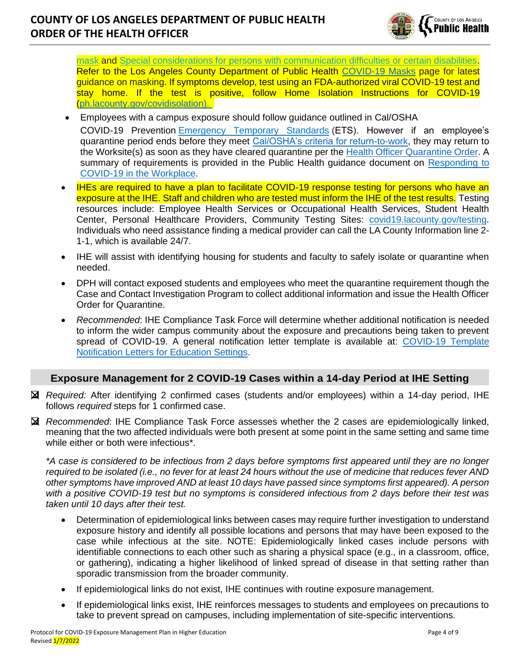

[mask](http://publichealth.lacounty.gov/acd/ncorona2019/masks/#notwear) and [Special considerations for persons with communication difficulties or certain disabilities.](http://publichealth.lacounty.gov/acd/ncorona2019/masks/#specialconsiderations) Refer to the Los Angeles County Department of Public Health [COVID-19 Masks](http://publichealth.lacounty.gov/acd/ncorona2019/masks/) page for latest guidance on masking. If symptoms develop, test using an FDA-authorized viral COVID-19 test and stay home. If the test is positive, follow Home Isolation Instructions for COVID-19 [\(ph.lacounty.gov/covidisolation\)](http://publichealth.lacounty.gov/acd/ncorona2019/covidisolation/).

- Employees with a campus exposure should follow guidance outlined in Cal/OSHA COVID-19 Prevention [Emergency Temporary Standards](https://www.dir.ca.gov/dosh/coronavirus/ETS.html) (ETS). However if an employee's quarantine period ends before they meet [Cal/OSHA's criteria for return-to-work,](https://dir.ca.gov/dosh/coronavirus/COVID19FAQs.html#outbreaks) they may return to the Worksite(s) as soon as they have cleared quarantine per the [Health Officer Quarantine Order.](http://publichealth.lacounty.gov/media/coronavirus/docs/HOO/HOO_Coronavirus_Blanket_Quarantine.pdf) A summary of requirements is provided in the Public Health guidance document on [Responding to](http://publichealth.lacounty.gov/acd/ncorona2019/workplaceresponse/)  [COVID-19 in the Workplace.](http://publichealth.lacounty.gov/acd/ncorona2019/workplaceresponse/)
- IHEs are required to have a plan to facilitate COVID-19 response testing for persons who have an exposure at the IHE. Staff and children who are tested must inform the IHE of the test results. Testing resources include: Employee Health Services or Occupational Health Services, Student Health Center, Personal Healthcare Providers, Community Testing Sites: [covid19.lacounty.gov/testing.](https://covid19.lacounty.gov/testing/) Individuals who need assistance finding a medical provider can call the LA County Information line 2- 1-1, which is available 24/7.
- IHE will assist with identifying housing for students and faculty to safely isolate or quarantine when needed.
- DPH will contact exposed students and employees who meet the quarantine requirement though the Case and Contact Investigation Program to collect additional information and issue the Health Officer Order for Quarantine.
- *Recommended*: IHE Compliance Task Force will determine whether additional notification is needed to inform the wider campus community about the exposure and precautions being taken to prevent spread of COVID-19. A general notification letter template is available at: [COVID-19 Template](http://publichealth.lacounty.gov/acd/Diseases/EpiForms/COVID_TemplateNotificationLetters_Educational_Settings_IHE.docx)  [Notification Letters for Education Settings.](http://publichealth.lacounty.gov/acd/Diseases/EpiForms/COVID_TemplateNotificationLetters_Educational_Settings_IHE.docx)

## **Exposure Management for 2 COVID-19 Cases within a 14-day Period at IHE Setting**

- ❑ *Required:* After identifying 2 confirmed cases (students and/or employees) within a 14-day period, IHE follows *required* steps for 1 confirmed case.
- ❑ *Recommended*: IHE Compliance Task Force assesses whether the 2 cases are epidemiologically linked, meaning that the two affected individuals were both present at some point in the same setting and same time while either or both were infectious\*.

*\*A case is considered to be infectious from 2 days before symptoms first appeared until they are no longer required to be isolated (i.e., no fever for at least 24 hours without the use of medicine that reduces fever AND other symptoms have improved AND at least 10 days have passed since symptoms first appeared). A person with a positive COVID-19 test but no symptoms is considered infectious from 2 days before their test was taken until 10 days after their test.*

- Determination of epidemiological links between cases may require further investigation to understand exposure history and identify all possible locations and persons that may have been exposed to the case while infectious at the site. NOTE: Epidemiologically linked cases include persons with identifiable connections to each other such as sharing a physical space (e.g., in a classroom, office, or gathering), indicating a higher likelihood of linked spread of disease in that setting rather than sporadic transmission from the broader community.
- If epidemiological links do not exist, IHE continues with routine exposure management.
- If epidemiological links exist, IHE reinforces messages to students and employees on precautions to take to prevent spread on campuses, including implementation of site-specific interventions.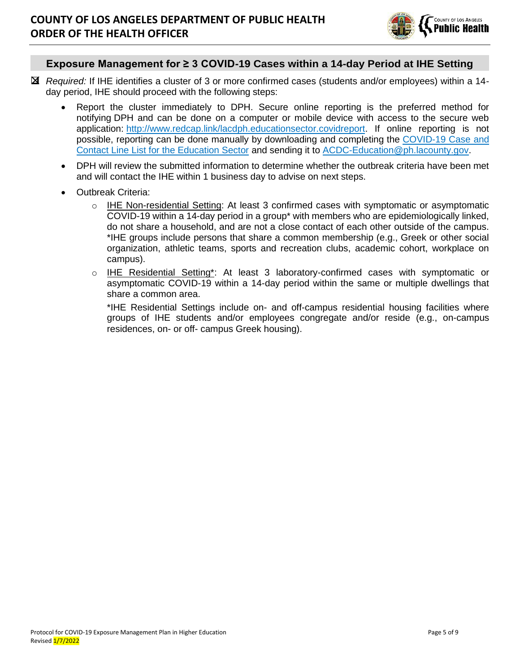

#### **Exposure Management for ≥ 3 COVID-19 Cases within a 14-day Period at IHE Setting**

- ❑ *Required:* If IHE identifies a cluster of 3 or more confirmed cases (students and/or employees) within a 14 day period, IHE should proceed with the following steps:
	- Report the cluster immediately to DPH. Secure online reporting is the preferred method for notifying DPH and can be done on a computer or mobile device with access to the secure web application: [http://www.redcap.link/lacdph.educationsector.covidreport.](http://www.redcap.link/lacdph.educationsector.covidreport) If online reporting is not possible, reporting can be done manually by downloading and completing the [COVID-19 Case and](http://publichealth.lacounty.gov/acd/Diseases/EpiForms/COVID_OBlinelist_Education_Sector.xlsm)  [Contact Line List for the Education Sector](http://publichealth.lacounty.gov/acd/Diseases/EpiForms/COVID_OBlinelist_Education_Sector.xlsm) and sending it to [ACDC-Education@ph.lacounty.gov.](mailto:ACDC-Education@ph.lacounty.gov)
	- DPH will review the submitted information to determine whether the outbreak criteria have been met and will contact the IHE within 1 business day to advise on next steps.
	- Outbreak Criteria:
		- o IHE Non-residential Setting: At least 3 confirmed cases with symptomatic or asymptomatic COVID-19 within a 14-day period in a group\* with members who are epidemiologically linked, do not share a household, and are not a close contact of each other outside of the campus. \*IHE groups include persons that share a common membership (e.g., Greek or other social organization, athletic teams, sports and recreation clubs, academic cohort, workplace on campus).
		- o IHE Residential Setting\*: At least 3 laboratory-confirmed cases with symptomatic or asymptomatic COVID-19 within a 14-day period within the same or multiple dwellings that share a common area.

\*IHE Residential Settings include on- and off-campus residential housing facilities where groups of IHE students and/or employees congregate and/or reside (e.g., on-campus residences, on- or off- campus Greek housing).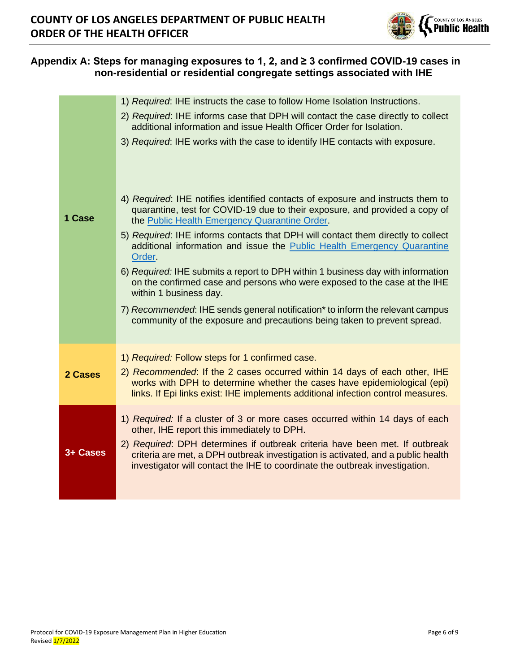

# **Appendix A: Steps for managing exposures to 1, 2, and ≥ 3 confirmed COVID-19 cases in non-residential or residential congregate settings associated with IHE**

|          | 1) Required: IHE instructs the case to follow Home Isolation Instructions.<br>2) Required: IHE informs case that DPH will contact the case directly to collect<br>additional information and issue Health Officer Order for Isolation.<br>3) Required. IHE works with the case to identify IHE contacts with exposure. |
|----------|------------------------------------------------------------------------------------------------------------------------------------------------------------------------------------------------------------------------------------------------------------------------------------------------------------------------|
| 1 Case   | 4) Required: IHE notifies identified contacts of exposure and instructs them to<br>quarantine, test for COVID-19 due to their exposure, and provided a copy of<br>the Public Health Emergency Quarantine Order.                                                                                                        |
|          | 5) Required: IHE informs contacts that DPH will contact them directly to collect<br>additional information and issue the Public Health Emergency Quarantine<br>Order.                                                                                                                                                  |
|          | 6) Required: IHE submits a report to DPH within 1 business day with information<br>on the confirmed case and persons who were exposed to the case at the IHE<br>within 1 business day.                                                                                                                                 |
|          | 7) Recommended: IHE sends general notification* to inform the relevant campus<br>community of the exposure and precautions being taken to prevent spread.                                                                                                                                                              |
|          | 1) Required: Follow steps for 1 confirmed case.                                                                                                                                                                                                                                                                        |
| 2 Cases  | 2) Recommended: If the 2 cases occurred within 14 days of each other, IHE<br>works with DPH to determine whether the cases have epidemiological (epi)<br>links. If Epi links exist: IHE implements additional infection control measures.                                                                              |
|          | 1) Required: If a cluster of 3 or more cases occurred within 14 days of each<br>other, IHE report this immediately to DPH.                                                                                                                                                                                             |
| 3+ Cases | 2) Required: DPH determines if outbreak criteria have been met. If outbreak<br>criteria are met, a DPH outbreak investigation is activated, and a public health<br>investigator will contact the IHE to coordinate the outbreak investigation.                                                                         |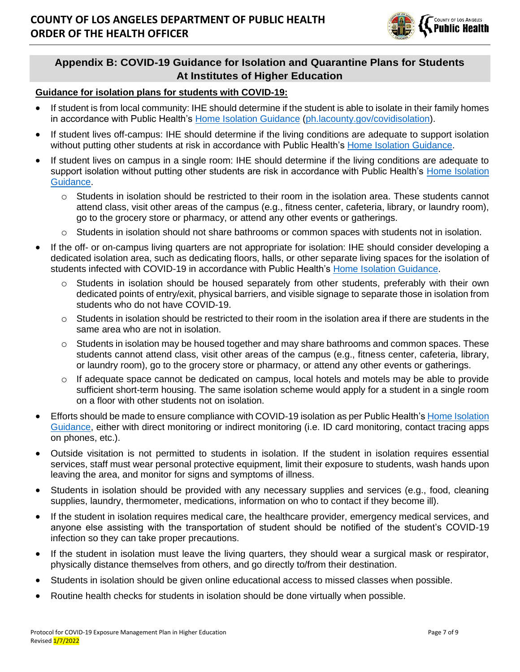

# **Appendix B: COVID-19 Guidance for Isolation and Quarantine Plans for Students At Institutes of Higher Education**

#### **Guidance for isolation plans for students with COVID-19:**

- If student is from local community: IHE should determine if the student is able to isolate in their family homes in accordance with Public Health's [Home Isolation Guidance](http://publichealth.lacounty.gov/acd/ncorona2019/covidisolation/) [\(ph.lacounty.gov/covidisolation\)](http://publichealth.lacounty.gov/acd/ncorona2019/covidisolation/).
- If student lives off-campus: IHE should determine if the living conditions are adequate to support isolation without putting other students at risk in accordance with Public Health's [Home Isolation Guidance.](http://publichealth.lacounty.gov/acd/ncorona2019/covidisolation/)
- If student lives on campus in a single room: IHE should determine if the living conditions are adequate to support isolation without putting other students are risk in accordance with Public Health's Home Isolation [Guidance.](http://publichealth.lacounty.gov/acd/ncorona2019/covidisolation/)
	- $\circ$  Students in isolation should be restricted to their room in the isolation area. These students cannot attend class, visit other areas of the campus (e.g., fitness center, cafeteria, library, or laundry room), go to the grocery store or pharmacy, or attend any other events or gatherings.
	- o Students in isolation should not share bathrooms or common spaces with students not in isolation.
- If the off- or on-campus living quarters are not appropriate for isolation: IHE should consider developing a dedicated isolation area, such as dedicating floors, halls, or other separate living spaces for the isolation of students infected with COVID-19 in accordance with Public Health's [Home Isolation Guidance.](http://publichealth.lacounty.gov/acd/ncorona2019/covidisolation/)
	- $\circ$  Students in isolation should be housed separately from other students, preferably with their own dedicated points of entry/exit, physical barriers, and visible signage to separate those in isolation from students who do not have COVID-19.
	- $\circ$  Students in isolation should be restricted to their room in the isolation area if there are students in the same area who are not in isolation.
	- $\circ$  Students in isolation may be housed together and may share bathrooms and common spaces. These students cannot attend class, visit other areas of the campus (e.g., fitness center, cafeteria, library, or laundry room), go to the grocery store or pharmacy, or attend any other events or gatherings.
	- $\circ$  If adequate space cannot be dedicated on campus, local hotels and motels may be able to provide sufficient short-term housing. The same isolation scheme would apply for a student in a single room on a floor with other students not on isolation.
- Efforts should be made to ensure compliance with COVID-19 isolation as per Public Health's [Home Isolation](http://publichealth.lacounty.gov/acd/ncorona2019/covidisolation/)  [Guidance,](http://publichealth.lacounty.gov/acd/ncorona2019/covidisolation/) either with direct monitoring or indirect monitoring (i.e. ID card monitoring, contact tracing apps on phones, etc.).
- Outside visitation is not permitted to students in isolation. If the student in isolation requires essential services, staff must wear personal protective equipment, limit their exposure to students, wash hands upon leaving the area, and monitor for signs and symptoms of illness.
- Students in isolation should be provided with any necessary supplies and services (e.g., food, cleaning supplies, laundry, thermometer, medications, information on who to contact if they become ill).
- If the student in isolation requires medical care, the healthcare provider, emergency medical services, and anyone else assisting with the transportation of student should be notified of the student's COVID-19 infection so they can take proper precautions.
- If the student in isolation must leave the living quarters, they should wear a surgical mask or respirator, physically distance themselves from others, and go directly to/from their destination.
- Students in isolation should be given online educational access to missed classes when possible.
- Routine health checks for students in isolation should be done virtually when possible.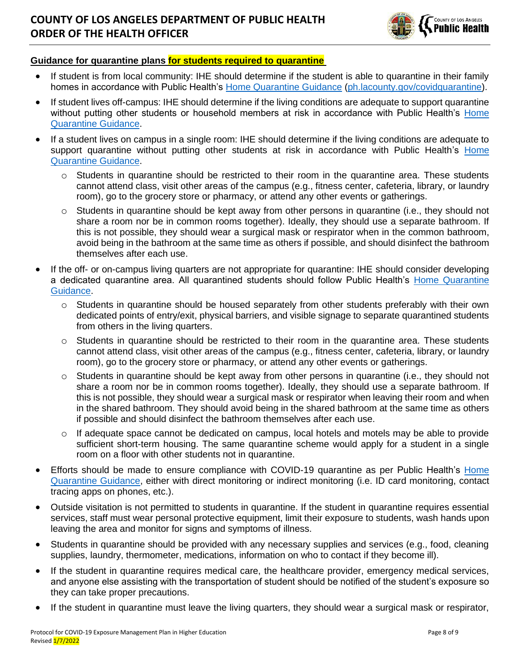

#### **Guidance for quarantine plans for students required to quarantine**

- If student is from local community: IHE should determine if the student is able to quarantine in their family homes in accordance with Public Health's [Home Quarantine Guidance](http://publichealth.lacounty.gov/acd/ncorona2019/covidquarantine/) [\(ph.lacounty.gov/covidquarantine\)](http://publichealth.lacounty.gov/acd/ncorona2019/covidquarantine/).
- If student lives off-campus: IHE should determine if the living conditions are adequate to support quarantine without putting other students or household members at risk in accordance with Public Health's Home [Quarantine Guidance.](http://publichealth.lacounty.gov/acd/ncorona2019/covidquarantine/)
- If a student lives on campus in a single room: IHE should determine if the living conditions are adequate to support quarantine without putting other students at risk in accordance with Public Health's Home [Quarantine Guidance.](http://publichealth.lacounty.gov/acd/ncorona2019/covidquarantine/)
	- $\circ$  Students in quarantine should be restricted to their room in the quarantine area. These students cannot attend class, visit other areas of the campus (e.g., fitness center, cafeteria, library, or laundry room), go to the grocery store or pharmacy, or attend any other events or gatherings.
	- $\circ$  Students in quarantine should be kept away from other persons in quarantine (i.e., they should not share a room nor be in common rooms together). Ideally, they should use a separate bathroom. If this is not possible, they should wear a surgical mask or respirator when in the common bathroom, avoid being in the bathroom at the same time as others if possible, and should disinfect the bathroom themselves after each use.
- If the off- or on-campus living quarters are not appropriate for quarantine: IHE should consider developing a dedicated quarantine area. All quarantined students should follow Public Health's [Home Quarantine](http://publichealth.lacounty.gov/acd/ncorona2019/covidquarantine/)  [Guidance.](http://publichealth.lacounty.gov/acd/ncorona2019/covidquarantine/)
	- $\circ$  Students in quarantine should be housed separately from other students preferably with their own dedicated points of entry/exit, physical barriers, and visible signage to separate quarantined students from others in the living quarters.
	- $\circ$  Students in quarantine should be restricted to their room in the quarantine area. These students cannot attend class, visit other areas of the campus (e.g., fitness center, cafeteria, library, or laundry room), go to the grocery store or pharmacy, or attend any other events or gatherings.
	- $\circ$  Students in quarantine should be kept away from other persons in quarantine (i.e., they should not share a room nor be in common rooms together). Ideally, they should use a separate bathroom. If this is not possible, they should wear a surgical mask or respirator when leaving their room and when in the shared bathroom. They should avoid being in the shared bathroom at the same time as others if possible and should disinfect the bathroom themselves after each use.
	- $\circ$  If adequate space cannot be dedicated on campus, local hotels and motels may be able to provide sufficient short-term housing. The same quarantine scheme would apply for a student in a single room on a floor with other students not in quarantine.
- Efforts should be made to ensure compliance with COVID-19 quarantine as per Public Health's Home [Quarantine Guidance,](http://publichealth.lacounty.gov/acd/ncorona2019/covidquarantine/) either with direct monitoring or indirect monitoring (i.e. ID card monitoring, contact tracing apps on phones, etc.).
- Outside visitation is not permitted to students in quarantine. If the student in quarantine requires essential services, staff must wear personal protective equipment, limit their exposure to students, wash hands upon leaving the area and monitor for signs and symptoms of illness.
- Students in quarantine should be provided with any necessary supplies and services (e.g., food, cleaning supplies, laundry, thermometer, medications, information on who to contact if they become ill).
- If the student in quarantine requires medical care, the healthcare provider, emergency medical services, and anyone else assisting with the transportation of student should be notified of the student's exposure so they can take proper precautions.
- If the student in quarantine must leave the living quarters, they should wear a surgical mask or respirator,